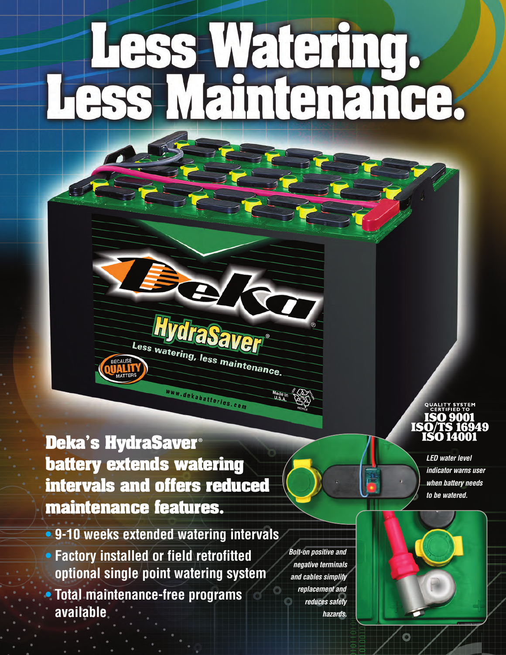# Vatering. **ATET**

**Deka's HydraSaver**® **battery extends watering** intervals and offers reduced **maintenance features.** 

Less watering, less maintenance.

www.dekabatteries.com

- 9-10 weeks extended watering intervals
- Factory installed or field retrofitted optional single point watering system • Total maintenance-free programs **a v a i l a b l e**

*<i>Bolt-on positive and nega ti ve term ina ls a nd ca bles simp lify rep lacement a nd re duces sa fety haza rds .*

## SO 9001

*L ED wa ter le ve l indica tor wa rns user* when battery needs *to be wa tere d.*